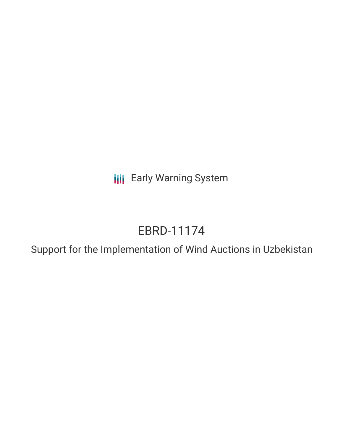**III** Early Warning System

# EBRD-11174

Support for the Implementation of Wind Auctions in Uzbekistan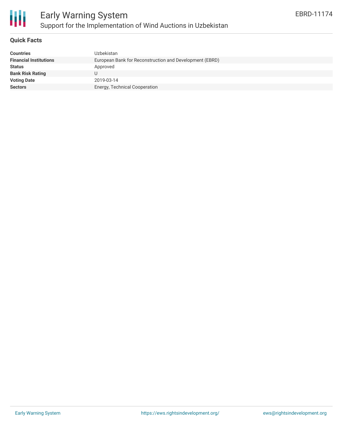

#### **Quick Facts**

| <b>Countries</b>              | Uzbekistan                                              |
|-------------------------------|---------------------------------------------------------|
| <b>Financial Institutions</b> | European Bank for Reconstruction and Development (EBRD) |
| <b>Status</b>                 | Approved                                                |
| <b>Bank Risk Rating</b>       |                                                         |
| <b>Voting Date</b>            | 2019-03-14                                              |
| <b>Sectors</b>                | Energy, Technical Cooperation                           |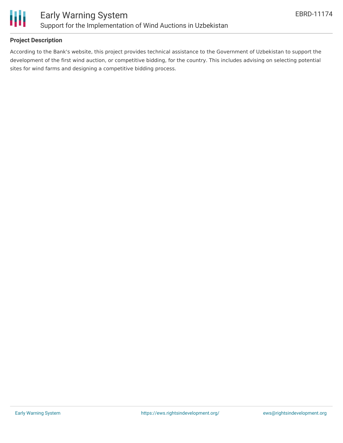

## **Project Description**

According to the Bank's website, this project provides technical assistance to the Government of Uzbekistan to support the development of the first wind auction, or competitive bidding, for the country. This includes advising on selecting potential sites for wind farms and designing a competitive bidding process.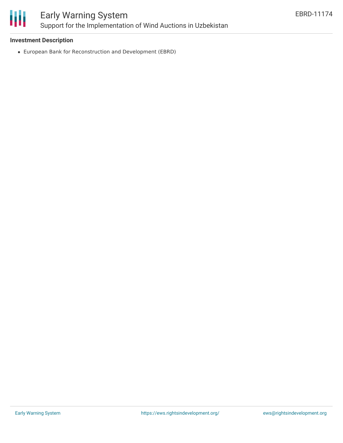

### **Investment Description**

European Bank for Reconstruction and Development (EBRD)